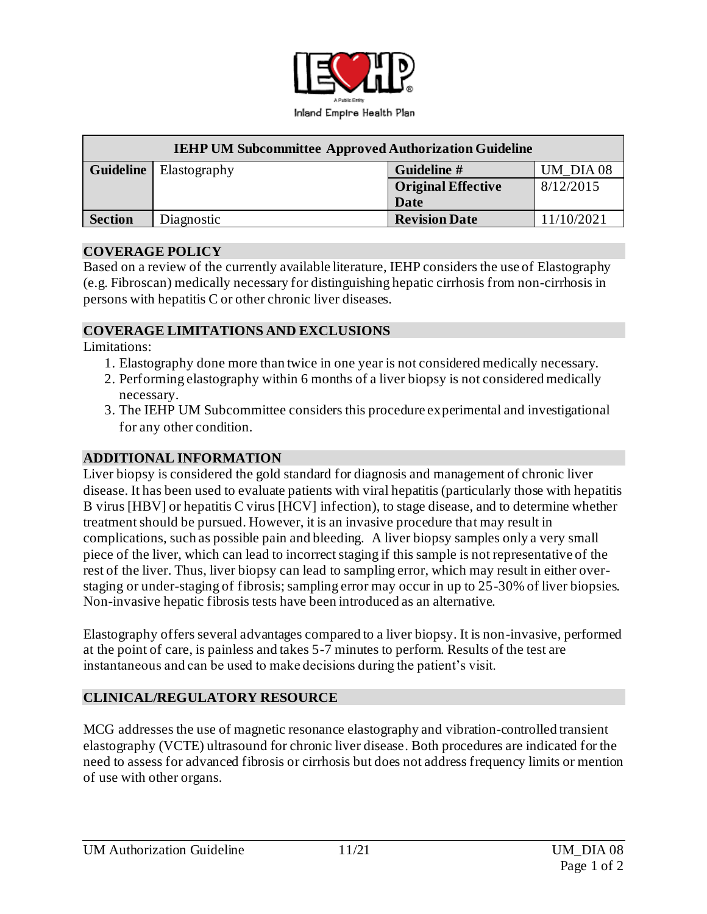

| <b>IEHP UM Subcommittee Approved Authorization Guideline</b> |                                 |                           |            |
|--------------------------------------------------------------|---------------------------------|---------------------------|------------|
|                                                              | <b>Guideline</b>   Elastography | Guideline #               | UM DIA 08  |
|                                                              |                                 | <b>Original Effective</b> | 8/12/2015  |
|                                                              |                                 | Date                      |            |
| <b>Section</b>                                               | Diagnostic                      | <b>Revision Date</b>      | 11/10/2021 |

#### **COVERAGE POLICY**

Based on a review of the currently available literature, IEHP considers the use of Elastography (e.g. Fibroscan) medically necessary for distinguishing hepatic cirrhosis from non-cirrhosis in persons with hepatitis C or other chronic liver diseases.

### **COVERAGE LIMITATIONS AND EXCLUSIONS**

Limitations:

- 1. Elastography done more than twice in one year is not considered medically necessary.
- 2. Performing elastography within 6 months of a liver biopsy is not considered medically necessary.
- 3. The IEHP UM Subcommittee considers this procedure experimental and investigational for any other condition.

### **ADDITIONAL INFORMATION**

Liver biopsy is considered the gold standard for diagnosis and management of chronic liver disease. It has been used to evaluate patients with viral hepatitis (particularly those with hepatitis B virus [HBV] or hepatitis C virus [HCV] infection), to stage disease, and to determine whether treatment should be pursued. However, it is an invasive procedure that may result in complications, such as possible pain and bleeding. A liver biopsy samples only a very small piece of the liver, which can lead to incorrect staging if this sample is not representative of the rest of the liver. Thus, liver biopsy can lead to sampling error, which may result in either overstaging or under-staging of fibrosis; sampling error may occur in up to 25-30% of liver biopsies. Non-invasive hepatic fibrosis tests have been introduced as an alternative.

Elastography offers several advantages compared to a liver biopsy. It is non-invasive, performed at the point of care, is painless and takes 5-7 minutes to perform. Results of the test are instantaneous and can be used to make decisions during the patient's visit.

## **CLINICAL/REGULATORY RESOURCE**

MCG addresses the use of magnetic resonance elastography and vibration-controlled transient elastography (VCTE) ultrasound for chronic liver disease. Both procedures are indicated for the need to assess for advanced fibrosis or cirrhosis but does not address frequency limits or mention of use with other organs.